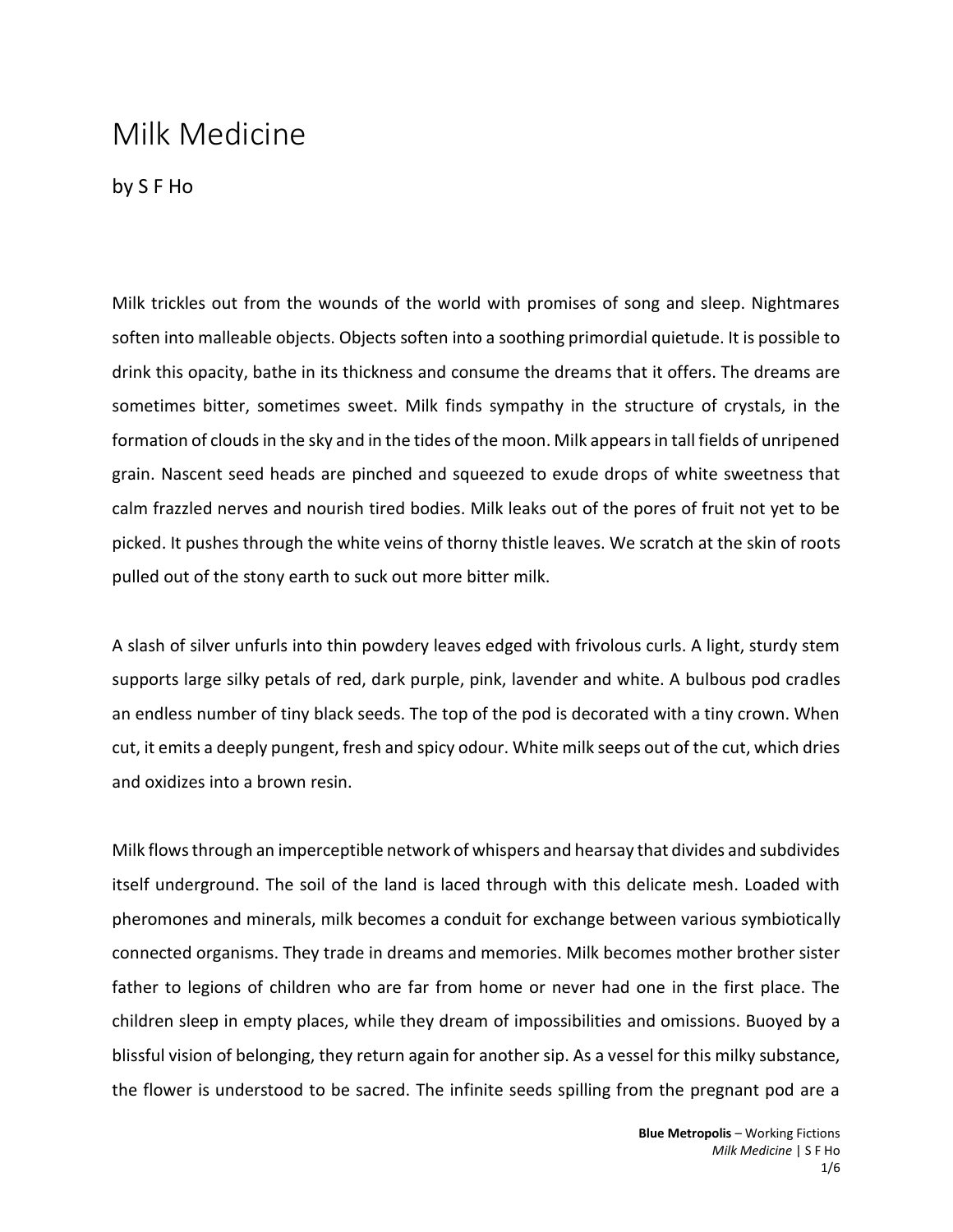## Milk Medicine

by S F Ho

Milk trickles out from the wounds of the world with promises of song and sleep. Nightmares soften into malleable objects. Objects soften into a soothing primordial quietude. It is possible to drink this opacity, bathe in its thickness and consume the dreams that it offers. The dreams are sometimes bitter, sometimes sweet. Milk finds sympathy in the structure of crystals, in the formation of clouds in the sky and in the tides of the moon. Milk appears in tall fields of unripened grain. Nascent seed heads are pinched and squeezed to exude drops of white sweetness that calm frazzled nerves and nourish tired bodies. Milk leaks out of the pores of fruit not yet to be picked. It pushes through the white veins of thorny thistle leaves. We scratch at the skin of roots pulled out of the stony earth to suck out more bitter milk.

A slash of silver unfurls into thin powdery leaves edged with frivolous curls. A light, sturdy stem supports large silky petals of red, dark purple, pink, lavender and white. A bulbous pod cradles an endless number of tiny black seeds. The top of the pod is decorated with a tiny crown. When cut, it emits a deeply pungent, fresh and spicy odour. White milk seeps out of the cut, which dries and oxidizes into a brown resin.

Milk flows through an imperceptible network of whispers and hearsay that divides and subdivides itself underground. The soil of the land is laced through with this delicate mesh. Loaded with pheromones and minerals, milk becomes a conduit for exchange between various symbiotically connected organisms. They trade in dreams and memories. Milk becomes mother brother sister father to legions of children who are far from home or never had one in the first place. The children sleep in empty places, while they dream of impossibilities and omissions. Buoyed by a blissful vision of belonging, they return again for another sip. As a vessel for this milky substance, the flower is understood to be sacred. The infinite seeds spilling from the pregnant pod are a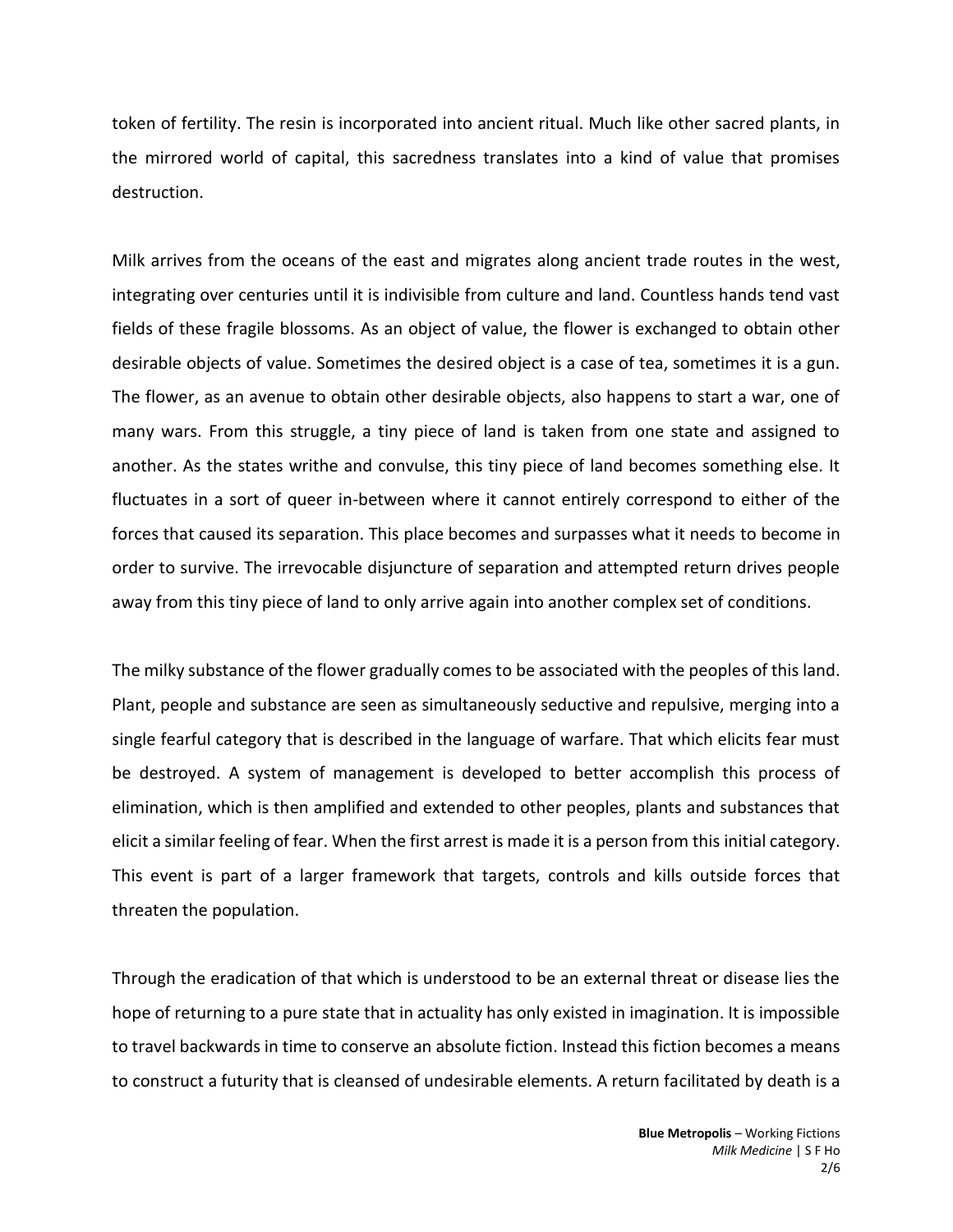token of fertility. The resin is incorporated into ancient ritual. Much like other sacred plants, in the mirrored world of capital, this sacredness translates into a kind of value that promises destruction.

Milk arrives from the oceans of the east and migrates along ancient trade routes in the west, integrating over centuries until it is indivisible from culture and land. Countless hands tend vast fields of these fragile blossoms. As an object of value, the flower is exchanged to obtain other desirable objects of value. Sometimes the desired object is a case of tea, sometimes it is a gun. The flower, as an avenue to obtain other desirable objects, also happens to start a war, one of many wars. From this struggle, a tiny piece of land is taken from one state and assigned to another. As the states writhe and convulse, this tiny piece of land becomes something else. It fluctuates in a sort of queer in-between where it cannot entirely correspond to either of the forces that caused its separation. This place becomes and surpasses what it needs to become in order to survive. The irrevocable disjuncture of separation and attempted return drives people away from this tiny piece of land to only arrive again into another complex set of conditions.

The milky substance of the flower gradually comes to be associated with the peoples of this land. Plant, people and substance are seen as simultaneously seductive and repulsive, merging into a single fearful category that is described in the language of warfare. That which elicits fear must be destroyed. A system of management is developed to better accomplish this process of elimination, which is then amplified and extended to other peoples, plants and substances that elicit a similar feeling of fear. When the first arrest is made it is a person from this initial category. This event is part of a larger framework that targets, controls and kills outside forces that threaten the population.

Through the eradication of that which is understood to be an external threat or disease lies the hope of returning to a pure state that in actuality has only existed in imagination. It is impossible to travel backwards in time to conserve an absolute fiction. Instead this fiction becomes a means to construct a futurity that is cleansed of undesirable elements. A return facilitated by death is a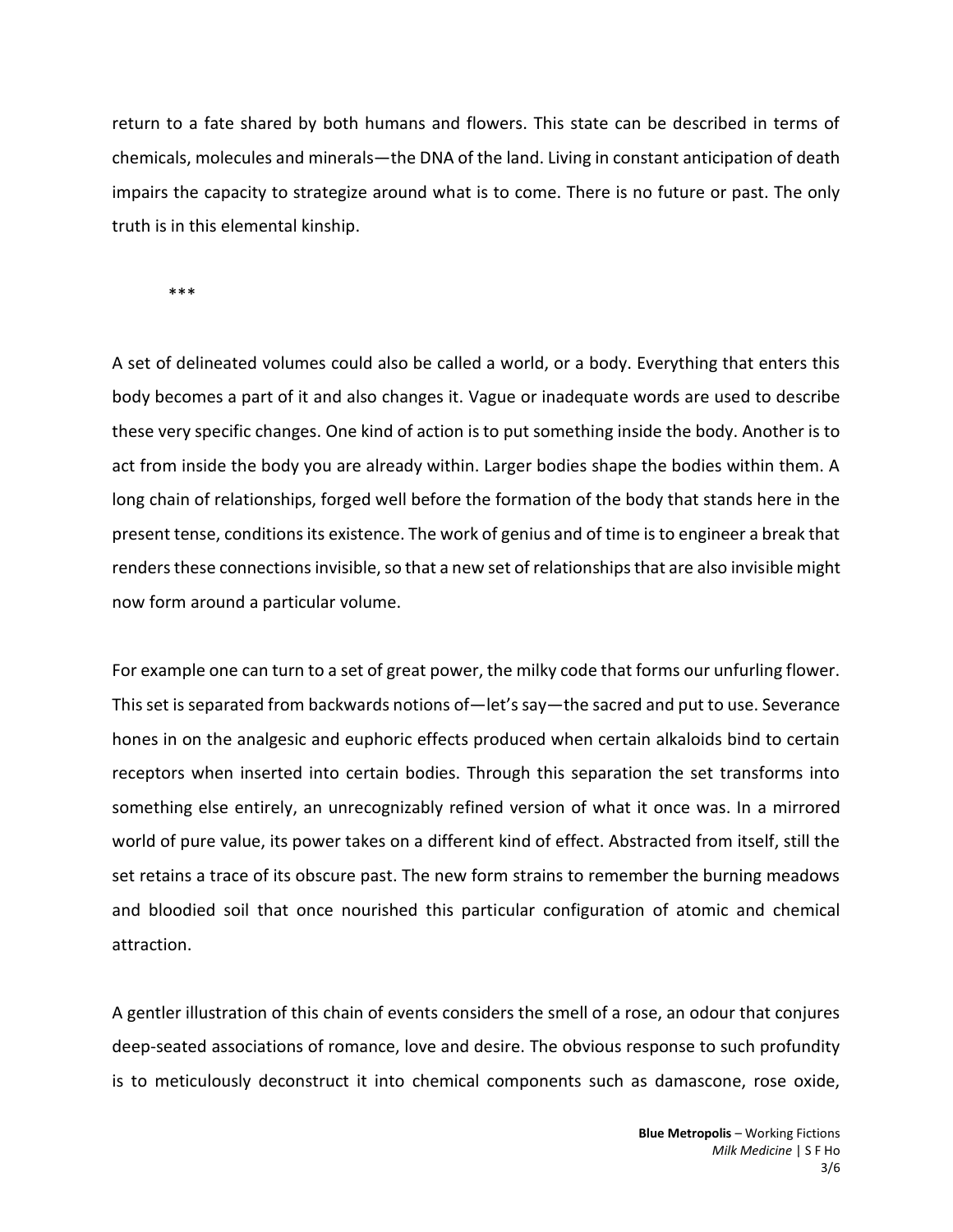return to a fate shared by both humans and flowers. This state can be described in terms of chemicals, molecules and minerals—the DNA of the land. Living in constant anticipation of death impairs the capacity to strategize around what is to come. There is no future or past. The only truth is in this elemental kinship.

\*\*\*

A set of delineated volumes could also be called a world, or a body. Everything that enters this body becomes a part of it and also changes it. Vague or inadequate words are used to describe these very specific changes. One kind of action is to put something inside the body. Another is to act from inside the body you are already within. Larger bodies shape the bodies within them. A long chain of relationships, forged well before the formation of the body that stands here in the present tense, conditions its existence. The work of genius and of time is to engineer a break that renders these connections invisible, so that a new set of relationships that are also invisible might now form around a particular volume.

For example one can turn to a set of great power, the milky code that forms our unfurling flower. This set is separated from backwards notions of—let's say—the sacred and put to use. Severance hones in on the analgesic and euphoric effects produced when certain alkaloids bind to certain receptors when inserted into certain bodies. Through this separation the set transforms into something else entirely, an unrecognizably refined version of what it once was. In a mirrored world of pure value, its power takes on a different kind of effect. Abstracted from itself, still the set retains a trace of its obscure past. The new form strains to remember the burning meadows and bloodied soil that once nourished this particular configuration of atomic and chemical attraction.

A gentler illustration of this chain of events considers the smell of a rose, an odour that conjures deep-seated associations of romance, love and desire. The obvious response to such profundity is to meticulously deconstruct it into chemical components such as damascone, rose oxide,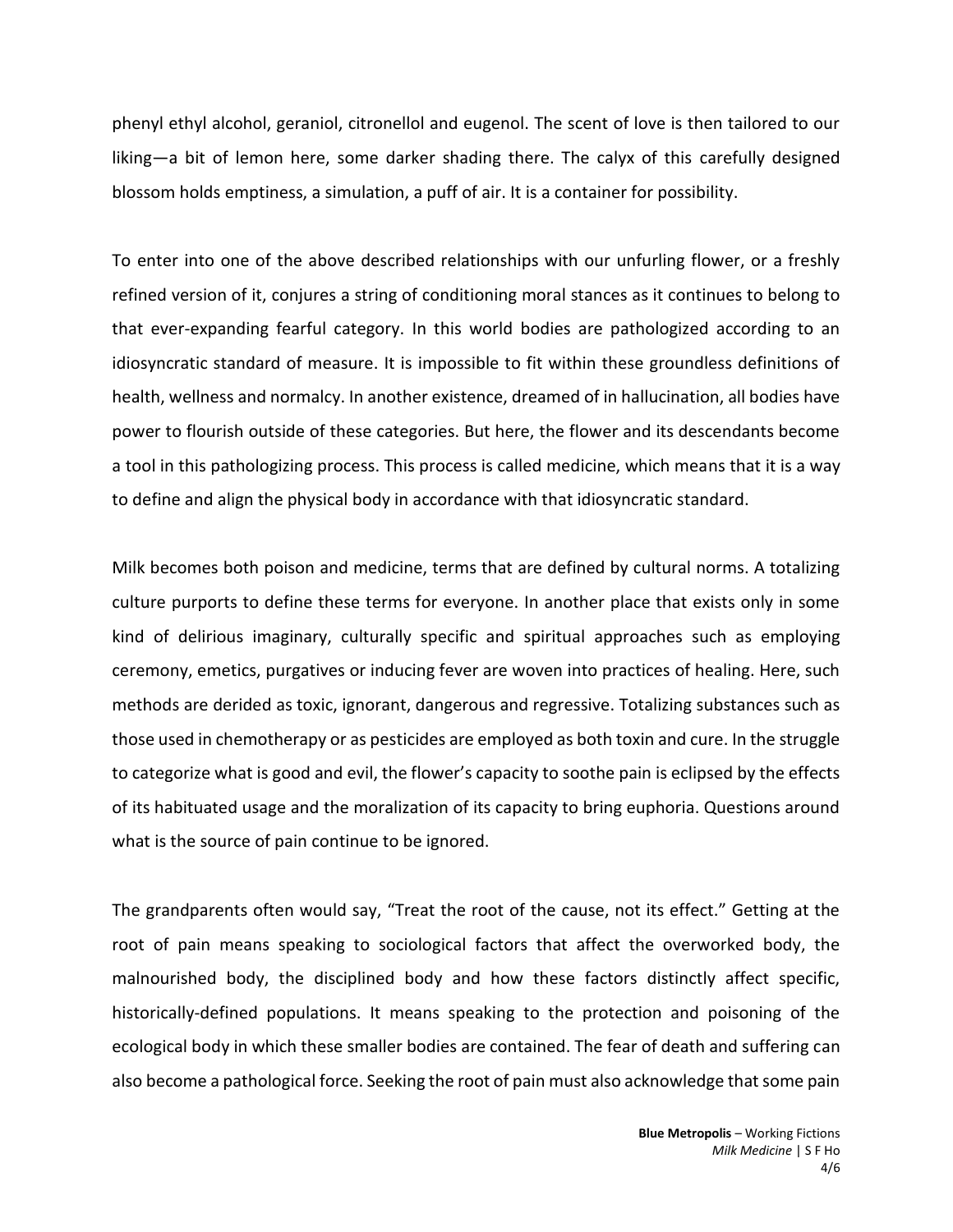phenyl ethyl alcohol, geraniol, citronellol and eugenol. The scent of love is then tailored to our liking—a bit of lemon here, some darker shading there. The calyx of this carefully designed blossom holds emptiness, a simulation, a puff of air. It is a container for possibility.

To enter into one of the above described relationships with our unfurling flower, or a freshly refined version of it, conjures a string of conditioning moral stances as it continues to belong to that ever-expanding fearful category. In this world bodies are pathologized according to an idiosyncratic standard of measure. It is impossible to fit within these groundless definitions of health, wellness and normalcy. In another existence, dreamed of in hallucination, all bodies have power to flourish outside of these categories. But here, the flower and its descendants become a tool in this pathologizing process. This process is called medicine, which means that it is a way to define and align the physical body in accordance with that idiosyncratic standard.

Milk becomes both poison and medicine, terms that are defined by cultural norms. A totalizing culture purports to define these terms for everyone. In another place that exists only in some kind of delirious imaginary, culturally specific and spiritual approaches such as employing ceremony, emetics, purgatives or inducing fever are woven into practices of healing. Here, such methods are derided as toxic, ignorant, dangerous and regressive. Totalizing substances such as those used in chemotherapy or as pesticides are employed as both toxin and cure. In the struggle to categorize what is good and evil, the flower's capacity to soothe pain is eclipsed by the effects of its habituated usage and the moralization of its capacity to bring euphoria. Questions around what is the source of pain continue to be ignored.

The grandparents often would say, "Treat the root of the cause, not its effect." Getting at the root of pain means speaking to sociological factors that affect the overworked body, the malnourished body, the disciplined body and how these factors distinctly affect specific, historically-defined populations. It means speaking to the protection and poisoning of the ecological body in which these smaller bodies are contained. The fear of death and suffering can also become a pathological force. Seeking the root of pain must also acknowledge that some pain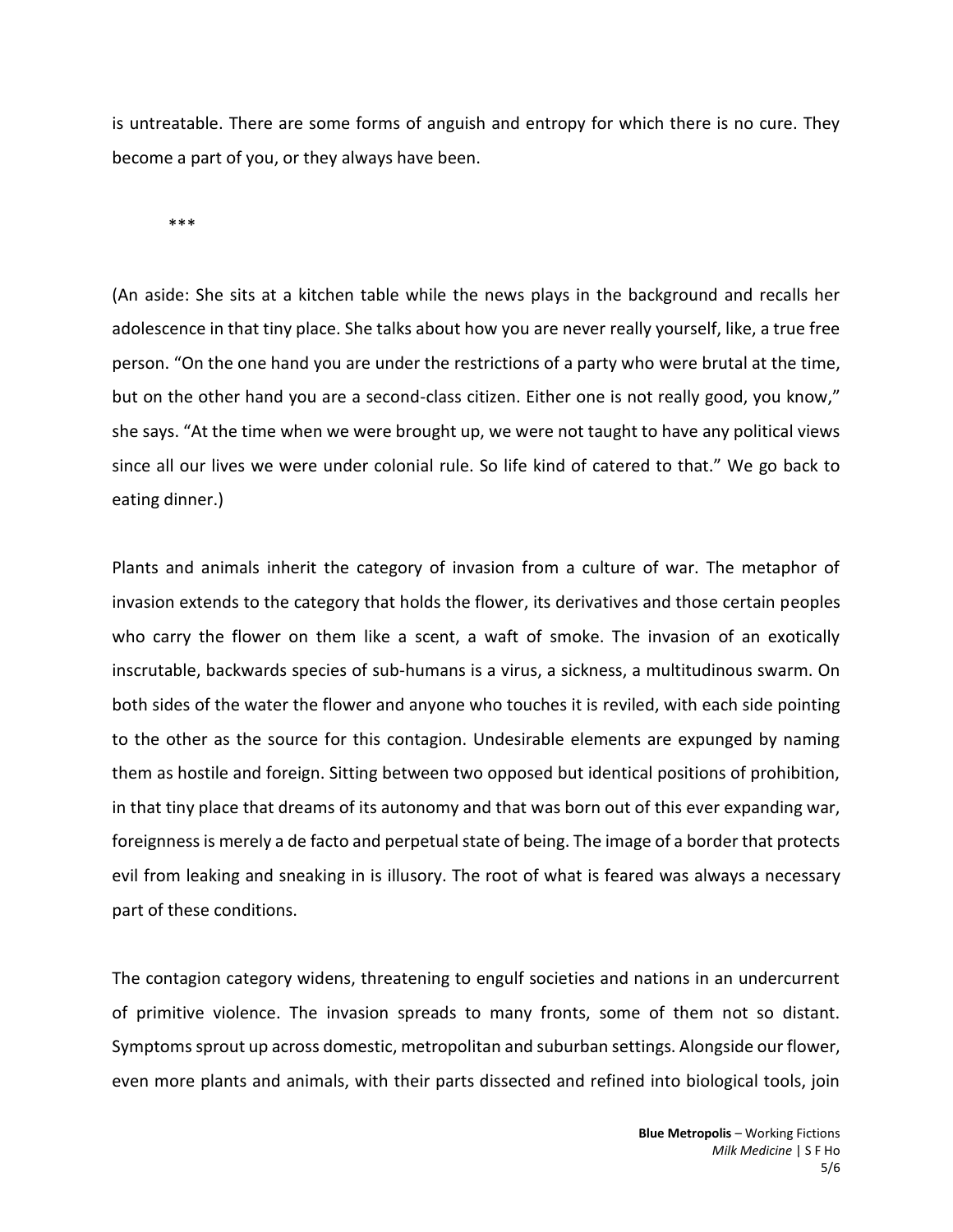is untreatable. There are some forms of anguish and entropy for which there is no cure. They become a part of you, or they always have been.

\*\*\*

(An aside: She sits at a kitchen table while the news plays in the background and recalls her adolescence in that tiny place. She talks about how you are never really yourself, like, a true free person. "On the one hand you are under the restrictions of a party who were brutal at the time, but on the other hand you are a second-class citizen. Either one is not really good, you know," she says. "At the time when we were brought up, we were not taught to have any political views since all our lives we were under colonial rule. So life kind of catered to that." We go back to eating dinner.)

Plants and animals inherit the category of invasion from a culture of war. The metaphor of invasion extends to the category that holds the flower, its derivatives and those certain peoples who carry the flower on them like a scent, a waft of smoke. The invasion of an exotically inscrutable, backwards species of sub-humans is a virus, a sickness, a multitudinous swarm. On both sides of the water the flower and anyone who touches it is reviled, with each side pointing to the other as the source for this contagion. Undesirable elements are expunged by naming them as hostile and foreign. Sitting between two opposed but identical positions of prohibition, in that tiny place that dreams of its autonomy and that was born out of this ever expanding war, foreignness is merely a de facto and perpetual state of being. The image of a border that protects evil from leaking and sneaking in is illusory. The root of what is feared was always a necessary part of these conditions.

The contagion category widens, threatening to engulf societies and nations in an undercurrent of primitive violence. The invasion spreads to many fronts, some of them not so distant. Symptoms sprout up across domestic, metropolitan and suburban settings. Alongside our flower, even more plants and animals, with their parts dissected and refined into biological tools, join